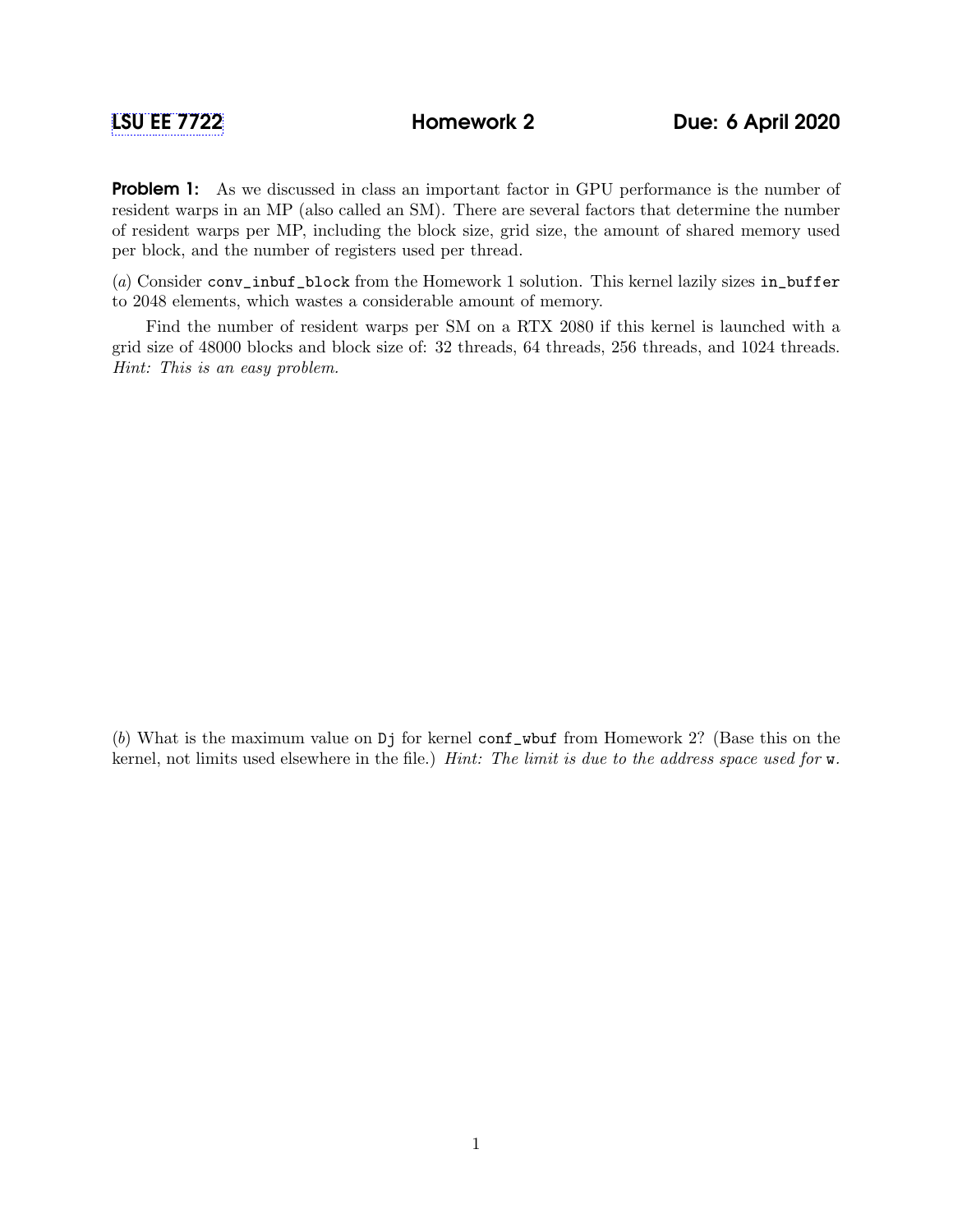**Problem 1:** As we discussed in class an important factor in GPU performance is the number of resident warps in an MP (also called an SM). There are several factors that determine the number of resident warps per MP, including the block size, grid size, the amount of shared memory used per block, and the number of registers used per thread.

(a) Consider conv\_inbuf\_block from the Homework 1 solution. This kernel lazily sizes in\_buffer to 2048 elements, which wastes a considerable amount of memory.

Find the number of resident warps per SM on a RTX 2080 if this kernel is launched with a grid size of 48000 blocks and block size of: 32 threads, 64 threads, 256 threads, and 1024 threads. Hint: This is an easy problem.

(b) What is the maximum value on Dj for kernel conf\_wbuf from Homework 2? (Base this on the kernel, not limits used elsewhere in the file.) Hint: The limit is due to the address space used for w.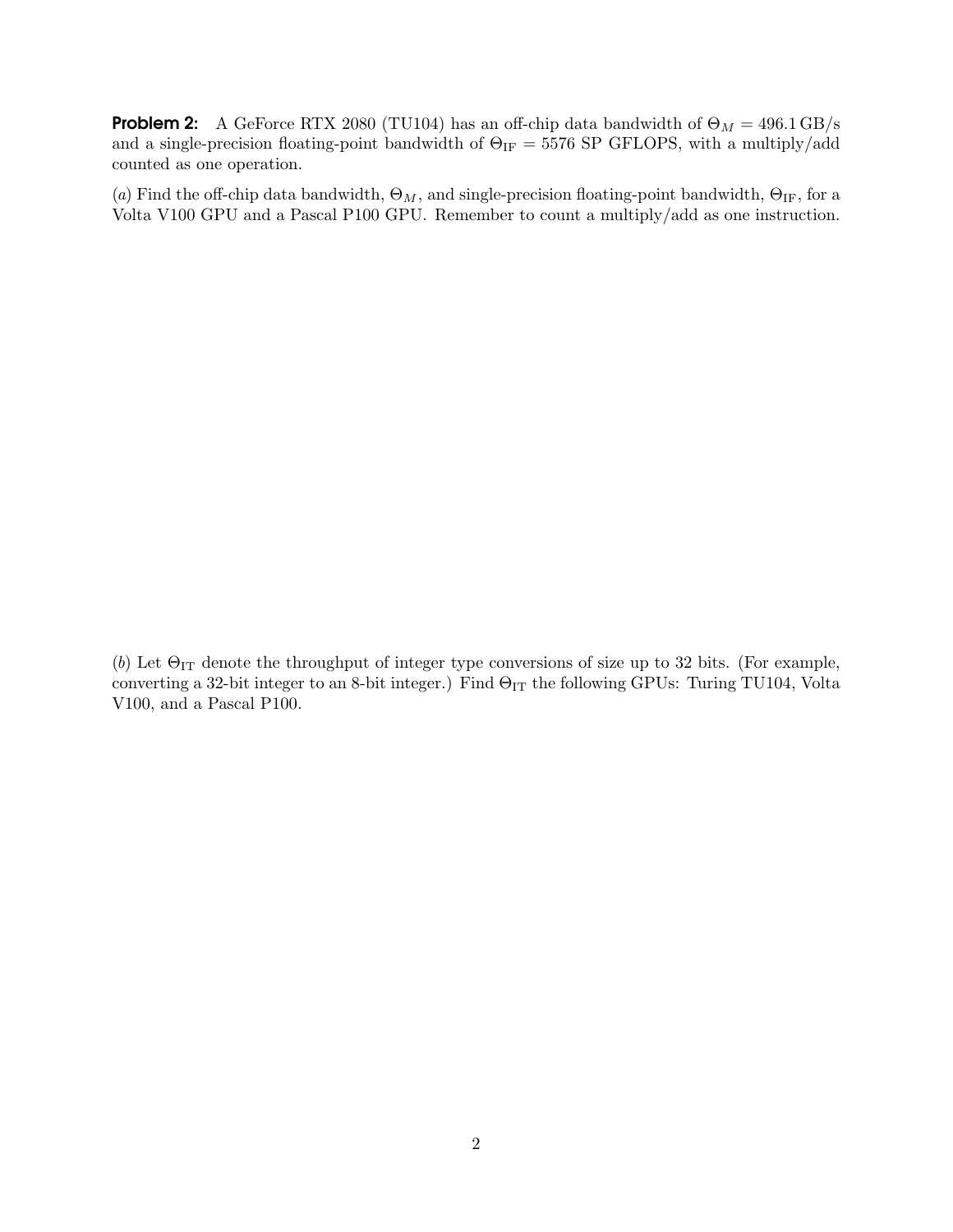**Problem 2:** A GeForce RTX 2080 (TU104) has an off-chip data bandwidth of  $\Theta_M = 496.1 \text{ GB/s}$ and a single-precision floating-point bandwidth of  $\Theta_{IF} = 5576$  SP GFLOPS, with a multiply/add counted as one operation.

(a) Find the off-chip data bandwidth,  $\Theta_M$ , and single-precision floating-point bandwidth,  $\Theta_{IF}$ , for a Volta V100 GPU and a Pascal P100 GPU. Remember to count a multiply/add as one instruction.

(b) Let  $\Theta_{IT}$  denote the throughput of integer type conversions of size up to 32 bits. (For example, converting a 32-bit integer to an 8-bit integer.) Find  $\Theta_{IT}$  the following GPUs: Turing TU104, Volta V100, and a Pascal P100.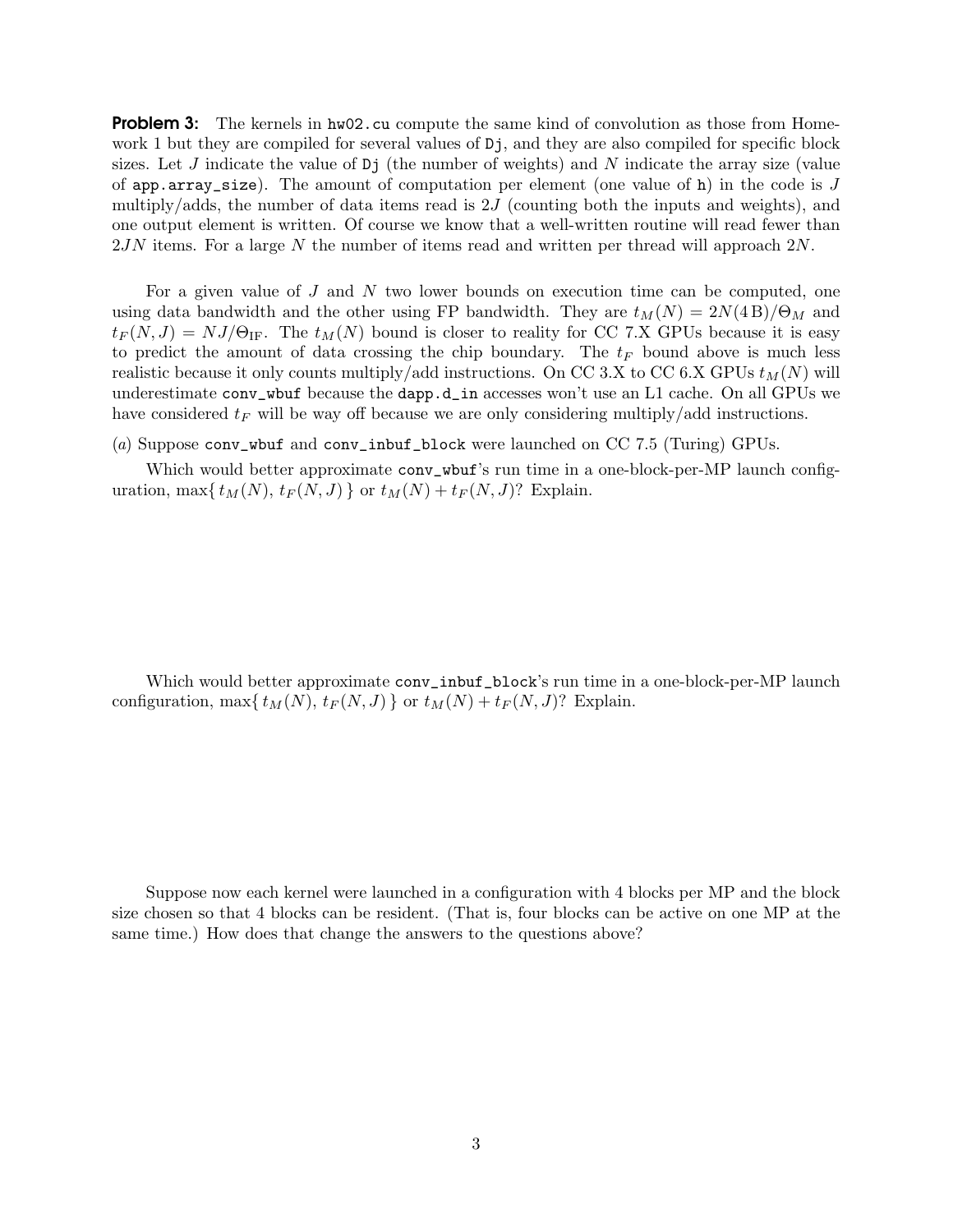**Problem 3:** The kernels in hw02.cu compute the same kind of convolution as those from Homework 1 but they are compiled for several values of  $D_j$ , and they are also compiled for specific block sizes. Let J indicate the value of  $D<sub>j</sub>$  (the number of weights) and N indicate the array size (value of app.array\_size). The amount of computation per element (one value of h) in the code is  $J$ multiply/adds, the number of data items read is  $2J$  (counting both the inputs and weights), and one output element is written. Of course we know that a well-written routine will read fewer than 2JN items. For a large N the number of items read and written per thread will approach 2N.

For a given value of J and N two lower bounds on execution time can be computed, one using data bandwidth and the other using FP bandwidth. They are  $t_M(N) = 2N(4B)/\Theta_M$  and  $t_F(N, J) = NJ/\Theta_{\text{IF}}$ . The  $t_M(N)$  bound is closer to reality for CC 7.X GPUs because it is easy to predict the amount of data crossing the chip boundary. The  $t_F$  bound above is much less realistic because it only counts multiply/add instructions. On CC 3.X to CC 6.X GPUs  $t_M(N)$  will underestimate conv\_wbuf because the dapp.d\_in accesses won't use an L1 cache. On all GPUs we have considered  $t_F$  will be way off because we are only considering multiply/add instructions.

(a) Suppose conv\_wbuf and conv\_inbuf\_block were launched on CC 7.5 (Turing) GPUs.

Which would better approximate conv\_wbuf's run time in a one-block-per-MP launch configuration, max $\{ t_M(N), t_F(N, J) \}$  or  $t_M(N) + t_F(N, J)$ ? Explain.

Which would better approximate conv\_inbuf\_block's run time in a one-block-per-MP launch configuration, max $\{ t_M(N), t_F(N, J) \}$  or  $t_M(N) + t_F(N, J)$ ? Explain.

Suppose now each kernel were launched in a configuration with 4 blocks per MP and the block size chosen so that 4 blocks can be resident. (That is, four blocks can be active on one MP at the same time.) How does that change the answers to the questions above?